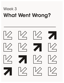# What Went Wrong? Week 3

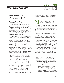## **What Went Wrong?**



# **Day One: The** Command To Trust

### **Today's Reading...**

**Genesis 2:8-25 NIV** | *Now the Lord God planted a garden in the east, in Eden; and there he put the man he had formed. The Lord God made all kinds of trees grow out of the ground—trees that were pleasing to the eye and good for food. In the middle of the garden were the tree of life and the tree of the knowledge of good and evil.*

*A river watering the garden* !*owed from Eden; from there it was separated into four headwaters. The name of the first is the Pishon; it winds through the entire land of Havilah, where there is gold. (The gold of that land is good; aromatic resin and onyx are also there.) The name of the second river is the Gihon; it winds through the entire land of Cush. The name of the third river is the Tigris; it runs along the east side of Ashur. And the fourth river is the Euphrates.The Lord God took the man and put him in the Garden of Eden to work it and take care of it. And the Lord God commanded the man, "You are free to eat from any tree in the garden; but you must not eat from the tree of the knowledge of good and evil, for when you eat from it you will certainly die."*

*The Lord God said, "It is not good for the man to be alone. I will make a helper suitable for him."... Then the Lord God made a woman from the rib he had taken out of the man, and he brought her to the man. The man said, "This is now bone of my bones and* !*esh of my* !*esh; she shall be called 'woman,'for she was taken out of man." That is why a man leaves his father and mother* 

*and is united to his wife, and they become one* !*esh. Adam and his wife were both naked, and they felt no shame.*

ot only did God create us with the<br>
grand responsibility to "image"<br>
Him (represent Him, reflect His<br>
character) to the world, but He<br>
also gave us the dignity of meaningful work. grand responsibility to "image" Him (represent Him, reflect His character) to the world, but He A life of thriving always includes serving a purpose greater than ourselves. In other words, we were created to be the means to God's ends/purposes.

 Adam and Eve had the distinct privilege of being the managers or stewards of what God had created. In a sense, God wanted them to build a culture in which He was glorified by a culture that trusted Him enough to do what He said (authority), embraced His love and acceptance of them (identity), and did for each other what He did for them (activity). They were given everything they needed to do this. In other words they were set up to THRIVE: they had a close relationship with God, a beautiful place to live, all the food they needed, good smells (aromatic resin), a person to love (and more to come), and meaningful and fulfilling work.

There was one more thing they were given: a COMMAND. Specifically, the command was "Do not eat from the tree of the knowledge of Good and Evil." Let's make sure we understand some important concepts surrounding this command:

It is absolutely necessary that we understand the command in the context of who God is: the CREATOR. If God didn't create, then He had no standing in which to command. But because God created Adam and Eve, He had the right to command them.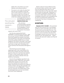(Note: this is why there is so much debate surrounding creation)

The person who hates the idea that they are accountable to God will look to other options to explain how they came to exist. The concept of unguided evolution has proven to be a less than satisfying explanation for

They were given everything they needed to …

THRIVE

our existence. For more on this see Stephen Meyer at **stephencmeyer.org**

Why did God command Adam and Eve to not eat from the Tree of the Knowledge of Good and Evil? The answer to this question has several

aspects; let's look at two...

First, this tree represented God's AUTHORITY to declare good and evil - right and wrong. It stood for MORAL AUTHORITY. God had created the heavens and earth, and everything on the earth and declared all that He created GOOD. This is a moral judgment. The reason God didn't want them to eat from this tree was because He didn't want them to take upon themselves the moral authority that exclusively belonged to Him.

Their thriving as human beings depended upon them submitting to the God of the universe who knew what was good for them-who had their best interests at heart. In other words, Adam and Eve couldn't be trusted to decide what was GOOD for themselves.

Second, the prohibition was God's way of saying to Adam "TRUST ME." Every good relationship requires trust and this was what God wanted from Adam-his trust. Adam would thrive as long as he trusted his creator. If Adam ate from the forbidden tree it would be an act of REBELLION—"I don't trust you anymore." The relationship would be damaged because trust was broken. And that's what happened.

Please notice for future reference that at this point Adam and Eve were "naked" and not ashamed. They were not just naked physically, but they were also naked emotionally and spiritually. "Nakedness" in this context, symbolized vulnerability and innocence. Both Adam and Eve could be completely authentic and vulnerable since sin had not entered their existence. Up to this point they lived a transparent and carefree life.

### **SCRIPTURE:**

**Genesis 2:15-17, 25 NIV** | *The Lord God took the man and put him in the Garden of Eden to work it and take care of it. And the Lord God commanded the man, "You are free to eat from any tree in the garden; but you must not eat from the tree of the knowledge of good and evil, for when you eat from it you will certainly die..." Adam and his wife were both naked, and they felt no shame.*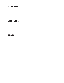### **OBSERVATION:**

<u> 1989 - Andrea Station, amerikansk politiker (d. 1989)</u>

the control of the control of the control of the control of the control of the control of

<u> 1989 - Johann Barn, amerikansk politiker (d. 1989)</u>

the control of the control of the control of the control of the control of the control of

 $\overline{\phantom{0}}$ 

**APPLICATION:**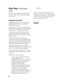# **Day Two: Paradise** Lost

Go to the Living FDFD website, Week Three, to listen to the audio resources for this day.

### MESSAGE OUTLINE:

The Biblical account of the Fall is the best explanation of why people are wicked and corrupt.

Only those who do not accept as true the doctrine of original sin are surprised when they are mistreated by others.

It is because we won't embrace the reality of mankind's sinful nature that we continue to make social policy that doesn't work.

The Vertical Nature of Sin: We put ourselves where only God belongs. We are our own authority. We determine for ourselves what is right and wrong, good and bad, beautiful and grotesque.

The Horizontal Nature of Sin: We are more than willing to throw anyone under the bus in order to justify ourselves.

My sin is deeper than what I do. It is like a stain that colors everything I do, think and say.

Evidence of this stain (sin):

- Try to make myself look good by pulling others down
- Using others for my own purposes
- Justifying myself and accusing God and others (blame)
- Selfishness and cruelty
- Always comparing ourselves with others in order to justify ourselves
- The desire to control others
- A natural bent toward feeling superior to other groups, races, etc.
- Fear, insecurity, guilt and shame dominate my thoughts and

feelings

When we embrace the doctrine of the depravity of mankind we instantly develop an affinity with everyone on earth. We are united by our need for forgiveness and rescue and transformation.

### **NOTES:**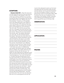### **SCRIPTURE:**

**Genesis 3:8-24 NIV** | *Then the man and his wife heard the sound of the Lord God as he was walking in the garden in the cool of the day, and they hid from the Lord God among the trees of the garden. But the Lord God called to the man, "Where are you?" He answered, "I heard you in the garden, and I was afraid because I was naked; so I hid." And he said, "Who told you that you were naked? Have you eaten from the tree that I commanded you not to eat from?" The man said, "The woman you put here with me—she gave me some fruit from the tree, and I ate it." Then the Lord God said to the woman, "What is this you have done?" The woman said, "The serpent deceived me, and I ate." So the Lord God said to the serpent, "Because you have done this, "Cursed are you above all livestock and all wild animals! You will crawl on your belly and you will eat dust all the days of your life. And I will put enmity between you and the woman, and between your offspring and hers; he will crush your head, and you will strike his heel." To the woman he said, "I will make your pains in childbearing very severe; with painful labor you will give birth to children. Your desire will be for your husband, and he will rule over you." To Adam he said, "Because you listened to your wife and ate fruit from the tree about which I commanded you, 'You must not eat from it,' "Cursed is the ground because of you; through painful toil you will eat food from it all the days of your life. It will produce thorns and thistles for you, and you will eat the plants of the* "*eld. By the sweat of your brow you will eat your food until you return to the ground, since from it you were taken; for dust you are and to dust you will return." Adam named his wife Eve, because she would become the mother of all the living. The Lord God made garments of skin for Adam and his wife and clothed them. And the Lord God said, "The man has now become like one of us, knowing good and evil. He* 

*must not be allowed to reach out his hand and take also from the tree of life and eat, and live forever." So the Lord God banished him from the Garden of Eden to work the ground from which he had been taken. After he drove the man out, he placed on the east side of the Garden of Eden cherubim and a* !*aming sword* !*ashing back and forth to guard the way to the tree of life.*

### **OBSERVATION:**

### **APPLICATION:**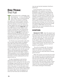# **Day Three:**  The Fall

The Fall started with an ATIITUDE ("Correlly say..."), not an ACTION.<br>
word "really" has a mocking attitude<br>
behind it. The serpent is planting<br>
the seed in the minds of Adam and Eve he Fall started with an ATTITUDE ("Did God really say…"), not an ACTION. The word "really" has a mocking attitude behind it. The serpent is planting that what God commanded is not fair or right. The decision not to trust God and to rebel against His authority started with the suggestion that God **does not** have their best interest at heart. Satan came to them to tempt them into thinking and believing that God's way (obedience to God's moral will) **was not** the pathway to personal thriving. The Serpent set out to convince them that they should explore the possibilities found in a world in which they were free to make their own choices and determine what is best for themselves.

Isn't this the way most people walk away from the faith today? Today our rebellion most often starts with the thought that freedom and real pleasure lie outside the moral boundaries that God has placed on us. Add the attitude that it "isn't fair" that God gets to make all the rules, that His ways are narrow and old fashioned, and rebellion against His authority takes flight. It doesn't take long before a once trusting individual now finds that they have swallowed the lie that Adam and Eve swallowed-the lie that God is not for us.

It is also interesting to note that Eve said to the serpent that God not only forbade her from eating from the tree of the knowledge of good and evil, but also from touching it. This could be seen as a minor error in accuracy or it can be seen as an indicator that she was beginning to believe that God's way was too narrow. Notice that the serpent didn't deny the existence of God, but that God was not GOOD. And

now we see the first indication that Eve is believing it.

So the temptation was not to stop BELIEVING in the existence of God. The temptation was–and is–to stop believing that God is GOOD. Looking ahead to our discussion of redemption in Week Five, this violation of God's command to trust is very important to understand. Our decision to TRUST in the KINDNESS of God, found in the sacrifice of Jesus Christ, is the act that reverses what had been lost at the Fall. Our love relationship with God was lost through our failure to TRUST HIM, and now that relationship can only be restored when we place our trust in Him.

### **SCRIPTURE:**

**Genesis 3:1-7 NIV** | *Now the serpent was more crafty than any of the wild animals the Lord God had made. He said to the woman, "Did God really say, 'You must not eat from any tree in the garden'?" The woman said to the serpent, "We may eat fruit from the trees in the garden, but God did say, 'You must not eat fruit from the tree that is in the middle of the garden, and you must not touch it, or you will die.'"*

*"You will not certainly die," the serpent said to the woman."For God knows that when you eat from it your eyes will be opened, and you will be like God, knowing good and evil."*

*When the woman saw that the fruit of the tree was good for food and pleasing to the eye, and also desirable for gaining wisdom, she took some and ate it. She also gave some to her husband, who was with her, and he ate it. Then the eyes of both of them were opened, and they realized they were naked; so they sewed* "*g leaves together and made coverings for themselves.*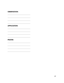### **OBSERVATION:**

**APPLICATION:**

<u> 1989 - Johann Barn, mars ann an t-Amhain Aonaich an t-Aonaich an t-Aonaich ann an t-Aonaich ann an t-Aonaich</u>

<u> 1989 - Johann Barn, amerikansk politiker (d. 1989)</u>

<u> 1989 - Johann Barn, amerikansk politiker (d. 1989)</u>

 $\overline{\phantom{0}}$ 

 $\overline{\phantom{a}}$ 

 $\overline{\phantom{0}}$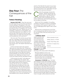## **Day Four:** The Consequences of the Fall

### **Today's Reading:**

**Genesis 3:8-19 NIV** | *Then the man and his wife heard the sound of the Lord God as he was walking in the garden in the cool of the day, and they hid from the Lord God among the trees of the garden. But the Lord God called to the man, "Where are you?" He answered, "I heard you in the garden, and I was afraid because I was naked; so I hid." And he said, "Who told you that you were naked? Have you eaten from the tree that I commanded you not to eat from?"*

*The man said, "The woman you put here with me—she gave me some fruit from the tree, and I ate it." Then the Lord God said to the woman, "What is this you have done?" The woman said, "The serpent deceived me, and I ate."*

*So the Lord God said to the serpent, "Because you have done this,"Cursed are you above all livestock and all wild animals! You will crawl on your belly and you will eat dust all the days of your life.And I will put enmity between you and the woman, and between your offspring and hers; he will crush your head, and you will strike his heel."*

*To the woman he said, "I will make your pains in childbearing very severe; with painful labor you will give birth to children. Your desire will be for your husband, and he will rule over you." To Adam he said, "Because you listened to your wife and ate fruit from the tree about which I commanded you, 'You must not eat from it,' "Cursed is the ground because of you; through painful toil you will eat food from it all the days of your life. It will produce thorns and thistles for you, and you will eat the* 

*plants of the* "*eld. By the sweat of your brow you will eat your food until you return to the ground, since from it you were taken; for dust you are and to dust you will return."*

learly this passage answers the<br>question, "What's wrong with the<br>human race?" Or, "Why is life and<br>relationship so difficult?" We all<br>suffer because of the consequences of a question, "What's wrong with the human race?" Or, "Why is life and relationship so difficult?" We all broken relationship with God brought about by our failure to trust Him.

What is sin? Sin is rebellion. It is putting ourselves in the place of God. It is deciding for ourselves what is good or right. It is the act of challenging God's right to tell us what to do.

What are the consequences of sin? The list of consequences are too many to list, but for now, let's look at the two that are most important.

**1. SPIRITUAL DEATH**. Adam and Eve and now everyone who has ever lived have a broken relationship with God and live their lives under a cloud of condemnation. This is why we all naturally feel guilty before God. **John 3:18 NIV** is helpful in

Most people know deep down, in their heart, that they are sinners in need of a Savior.

showing us this. Jesus said to Nicodemus:

*Whoever believes in him is not condemned, but whoever does not believe stands condemned already because they have not believed in the name of God's one and only Son.*

**Colossians 1:19-22 NIV** says, *"For God was pleased to have all his fullness dwell in him, and through him to reconcile to himself all things, whether things on earth or things in heaven, by making peace through his blood, shed on the cross. Once you were alienated from God and were enemies in your minds because of your evil behavior. But now he has reconciled you by Christ's physical body through death to present you holy in his sight, without blemish and free*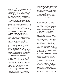#### *from accusation…"*

These passages clearly proclaim that because of the REBELLION of Adam and Eve, we have a SIN PROBLEM.

 The only resolution to our sin problem (our spiritual death, our own rebellion against God's authority, our need for reconciliation) is what Christ did for us on the Cross. So everyone of us can be alive physically but dead spiritually. Unless God rescues us and we respond to that rescue, we will live and die as God's rebellious enemies deserving His condemnation. Because God is good He often works in us to produce true moral guilt. Most people know deep down in their heart, that they are sinners in need of a Savior. But, unfortunately, they are successful at drowning out the sense and conviction that they need forgiveness for their sins.

**2. FEAR AND INSECURITY**. Look at the immediate consequences of Adam and Eve's decision to eat from the forbidden tree. They instantly hid. They hid from God because they didn't want to face Him-they were afraid of Him because they knew that they had violated the relationship by violating God's trust. Also, for the first time ever they felt ASHAMED and did what came naturally they tried to cover themselves. The physical act of covering themselves is, I believe, a metaphor for something that comes natural to all of us: we make excuses for our bad behavior, we blame others (they did this) and we pretend to be someone we aren't (the number one cause of debt).

 J.P. Moreland has written about a world in which we are trying desperately to be in charge of our own lives and God is demoted out of existence. He labels our state of being "spiritually dead" as the "empty self." Read his thoughts below and decide whether or not you agree with his description of what it means to live life in rebellion to God's authority.

*The empty self is actually a ubiquitous incarnation of what is more broadly called the false self. Roughly, the false self is the false self we present to others,*  *perhaps unconsciously, in order to make the world safe for us, to allow us to be in control of things, to gain attention or be ignored depending on our strategy, and to hide from others and ourselves what we are really like. The false self is a tangled web of internal tapes created by childhood struggles, pain, embarrassment, anxiety, and fear.*

He goes on to say…

 *The empty self is individualistic. These are self-contained individuals who de*"*nes one's own life goals, values, and interests as though one were a human atom, isolated from others, with little need or responsibility to live for the concerns of the broader community.*

*The empty self is infantile. These are people who carry adolescent personality features well into their thirties. An infantile person is controlled by infantile cravings and constantly seeks to be* "*lled up with and made whole by food, entertainment and consumer goods. The infantile self needs to be soothed and must have its desires instantly satis*"*ed… For the infantile personality type, pain, endurance, hard work, and delayed grati*"*cation are simply out of the question. Pleasure is all that matters, and it has to be immediate. Boredom is the greatest evil, amusement the greatest good.*

*The empty self is narcissistic. Narcissism is an inappropriate sense of selfinfatuation in which the individual is driven by and only by his or her own self-interest and personal ful*"*llment. The narcissist is super*"*cial and regards others as mere objects, mere means to his or her own sel*"*sh ends. Self denial is out of the question. Spiritually, the narcissist dethrones God and his purposes in history from the center of religious life and places his or her own personal ful*"*llment in the middle. God exists to meet the narcissist's needs, and*